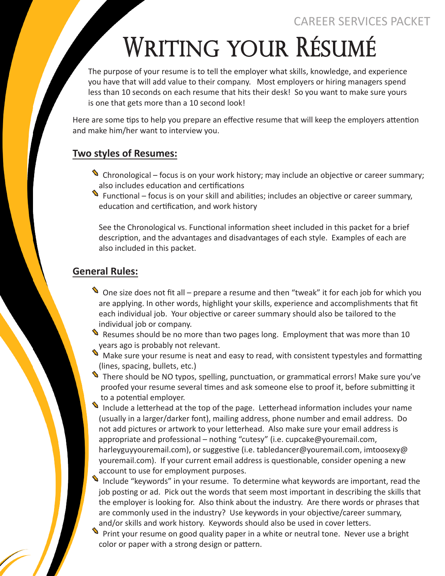CAREER SERVICES PACKET

# WRITING Your RÉSUMÉ

The purpose of your resume is to tell the employer what skills, knowledge, and experience you have that will add value to their company. Most employers or hiring managers spend less than 10 seconds on each resume that hits their desk! So you want to make sure yours is one that gets more than a 10 second look!

Here are some tips to help you prepare an effective resume that will keep the employers attention and make him/her want to interview you.

# **Two styles of Resumes:**

- Chronological focus is on your work history; may include an objective or career summary; d also includes education and certifications
- also includes education and certifications<br>Trunctional focus is on your skill and abilities; includes an objective or career summary, education and certification, and work history

See the Chronological vs. Functional information sheet included in this packet for a brief description, and the advantages and disadvantages of each style. Examples of each are also included in this packet.

# **General Rules:**

- **If** One size does not fit all prepare a resume and then "tweak" it for each job for which you are applying. In other words, highlight your skills, experience and accomplishments that fit each individual job. Your objective or career summary should also be tailored to the individual job or company.
- nidividual job of company.<br>Sesumes should be no more than two pages long. Employment that was more than 10 years ago is probably not relevant.
- s years ago is probably not relevant.<br>Make sure your resume is neat and easy to read, with consistent typestyles and formatting (lines, spacing, bullets, etc.)
- There should be NO typos, spelling, punctuation, or grammatical errors! Make sure you've d proofed your resume several times and ask someone else to proof it, before submitting it to a potential employer.
- Include a letterhead at the top of the page. Letterhead information includes your name d (usually in a larger/darker font), mailing address, phone number and email address. Do not add pictures or artwork to your letterhead. Also make sure your email address is appropriate and professional – nothing "cutesy" (i.e. cupcake@youremail.com, harleyguyyouremail.com), or suggestive (i.e. tabledancer@youremail.com, imtoosexy@ youremail.com). If your current email address is questionable, consider opening a new account to use for employment purposes.
- account to use for employment purposes.<br>Include "keywords" in your resume. To determine what keywords are important, read the job posting or ad. Pick out the words that seem most important in describing the skills that the employer is looking for. Also think about the industry. Are there words or phrases that are commonly used in the industry? Use keywords in your objective/career summary, and/or skills and work history. Keywords should also be used in cover letters.  $\ddot{\bullet}$
- Print your resume on good quality paper in a white or neutral tone. Never use a bright color or paper with a strong design or pattern.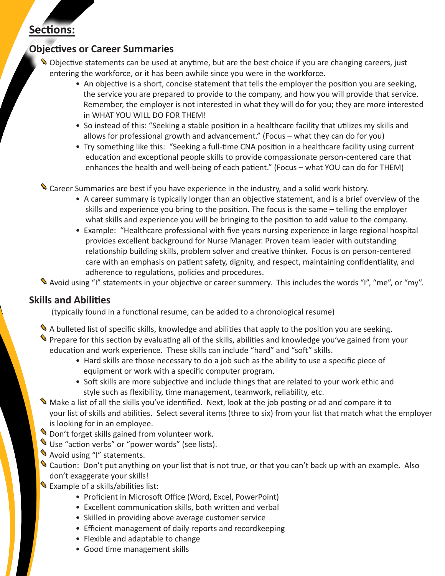# **Sections:**

# **Objectives or Career Summaries**

- •<br>• Objective statements can be used at anytime, but are the best choice if you are changing careers, just entering the workforce, or it has been awhile since you were in the workforce.
	- An objective is a short, concise statement that tells the employer the position you are seeking, the service you are prepared to provide to the company, and how you will provide that service. Remember, the employer is not interested in what they will do for you; they are more interested in WHAT YOU WILL DO FOR THEM!
	- So instead of this: "Seeking a stable position in a healthcare facility that utilizes my skills and allows for professional growth and advancement." (Focus – what they can do for you)
	- Try something like this: "Seeking a full-time CNA position in a healthcare facility using current education and exceptional people skills to provide compassionate person-centered care that enhances the health and well-being of each patient." (Focus – what YOU can do for THEM)

**S** Career Summaries are best if you have experience in the industry, and a solid work history.

- A career summary is typically longer than an objective statement, and is a brief overview of the skills and experience you bring to the position. The focus is the same – telling the employer what skills and experience you will be bringing to the position to add value to the company.
- Example: "Healthcare professional with five years nursing experience in large regional hospital provides excellent background for Nurse Manager. Proven team leader with outstanding relationship building skills, problem solver and creative thinker. Focus is on person-centered care with an emphasis on patient safety, dignity, and respect, maintaining confidentiality, and adherence to regulations, policies and procedures.

d Avoid using "I" statements in your objective or career summery. This includes the words "I", "me", or "my".

#### **Skills and Abilities**

(typically found in a functional resume, can be added to a chronological resume)

- A bulleted list of specific skills, knowledge and abilities that apply to the position you are seeking. → A buneted list of specific skills, knowledge and abilities that apply to the position you are seeking.<br>♦ Prepare for this section by evaluating all of the skills, abilities and knowledge you've gained from your education and work experience. These skills can include "hard" and "soft" skills.
	- Hard skills are those necessary to do a job such as the ability to use a specific piece of equipment or work with a specific computer program.
	- Soft skills are more subjective and include things that are related to your work ethic and style such as flexibility, time management, teamwork, reliability, etc.
- style such as hexibility, time management, teamwork, reliability, etc.<br>Make a list of all the skills you've identified. Next, look at the job posting or ad and compare it to your list of skills and abilities. Select several items (three to six) from your list that match what the employer is looking for in an employee.
- s looking for in an employee.<br>Soon't forget skills gained from volunteer work.
- **S** Don't lorget skins gamed from volumeer work.<br>Use "action verbs" or "power words" (see lists).
- See action verbs or pow<br>Mevoid using "I" statements.
- Nold dailig Tristatements.<br>Secaution: Don't put anything on your list that is not true, or that you can't back up with an example. Also don't exaggerate your skills!
- Gon c caaggerate your skins:<br>Sexample of a skills/abilities list:
	- Proficient in Microsoft Office (Word, Excel, PowerPoint)
	- Excellent communication skills, both written and verbal
	- Skilled in providing above average customer service
	- Efficient management of daily reports and recordkeeping
	- Flexible and adaptable to change
	- Good time management skills